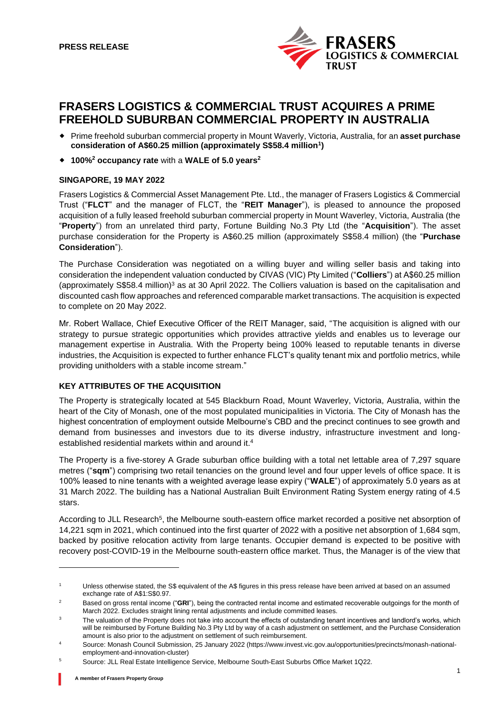

# **FRASERS LOGISTICS & COMMERCIAL TRUST ACQUIRES A PRIME FREEHOLD SUBURBAN COMMERCIAL PROPERTY IN AUSTRALIA**

- Prime freehold suburban commercial property in Mount Waverly, Victoria, Australia, for an **asset purchase consideration of A\$60.25 million (approximately S\$58.4 million<sup>1</sup> )**
- **100%<sup>2</sup> occupancy rate** with a **WALE of 5.0 years<sup>2</sup>**

## **SINGAPORE, 19 MAY 2022**

Frasers Logistics & Commercial Asset Management Pte. Ltd., the manager of Frasers Logistics & Commercial Trust ("**FLCT**" and the manager of FLCT, the "**REIT Manager**"), is pleased to announce the proposed acquisition of a fully leased freehold suburban commercial property in Mount Waverley, Victoria, Australia (the "**Property**") from an unrelated third party, Fortune Building No.3 Pty Ltd (the "**Acquisition**"). The asset purchase consideration for the Property is A\$60.25 million (approximately S\$58.4 million) (the "**Purchase Consideration**").

The Purchase Consideration was negotiated on a willing buyer and willing seller basis and taking into consideration the independent valuation conducted by CIVAS (VIC) Pty Limited ("**Colliers**") at A\$60.25 million (approximately S\$58.4 million)<sup>3</sup> as at 30 April 2022. The Colliers valuation is based on the capitalisation and discounted cash flow approaches and referenced comparable market transactions. The acquisition is expected to complete on 20 May 2022.

Mr. Robert Wallace, Chief Executive Officer of the REIT Manager, said, "The acquisition is aligned with our strategy to pursue strategic opportunities which provides attractive yields and enables us to leverage our management expertise in Australia. With the Property being 100% leased to reputable tenants in diverse industries, the Acquisition is expected to further enhance FLCT's quality tenant mix and portfolio metrics, while providing unitholders with a stable income stream."

# **KEY ATTRIBUTES OF THE ACQUISITION**

The Property is strategically located at 545 Blackburn Road, Mount Waverley, Victoria, Australia, within the heart of the City of Monash, one of the most populated municipalities in Victoria. The City of Monash has the highest concentration of employment outside Melbourne's CBD and the precinct continues to see growth and demand from businesses and investors due to its diverse industry, infrastructure investment and longestablished residential markets within and around it.<sup>4</sup>

The Property is a five-storey A Grade suburban office building with a total net lettable area of 7,297 square metres ("**sqm**") comprising two retail tenancies on the ground level and four upper levels of office space. It is 100% leased to nine tenants with a weighted average lease expiry ("**WALE**") of approximately 5.0 years as at 31 March 2022. The building has a National Australian Built Environment Rating System energy rating of 4.5 stars.

According to JLL Research<sup>5</sup>, the Melbourne south-eastern office market recorded a positive net absorption of 14,221 sqm in 2021, which continued into the first quarter of 2022 with a positive net absorption of 1,684 sqm, backed by positive relocation activity from large tenants. Occupier demand is expected to be positive with recovery post-COVID-19 in the Melbourne south-eastern office market. Thus, the Manager is of the view that

<sup>1</sup> Unless otherwise stated, the S\$ equivalent of the A\$ figures in this press release have been arrived at based on an assumed exchange rate of A\$1:S\$0.97.

<sup>&</sup>lt;sup>2</sup> Based on gross rental income ("GRI"), being the contracted rental income and estimated recoverable outgoings for the month of March 2022. Excludes straight lining rental adjustments and include committed leases.

<sup>&</sup>lt;sup>3</sup> The valuation of the Property does not take into account the effects of outstanding tenant incentives and landlord's works, which will be reimbursed by Fortune Building No.3 Pty Ltd by way of a cash adjustment on settlement, and the Purchase Consideration amount is also prior to the adjustment on settlement of such reimbursement.

<sup>4</sup> Source: Monash Council Submission, 25 January 2022 (https://www.invest.vic.gov.au/opportunities/precincts/monash-nationalemployment-and-innovation-cluster)

<sup>5</sup> Source: JLL Real Estate Intelligence Service, Melbourne South-East Suburbs Office Market 1Q22.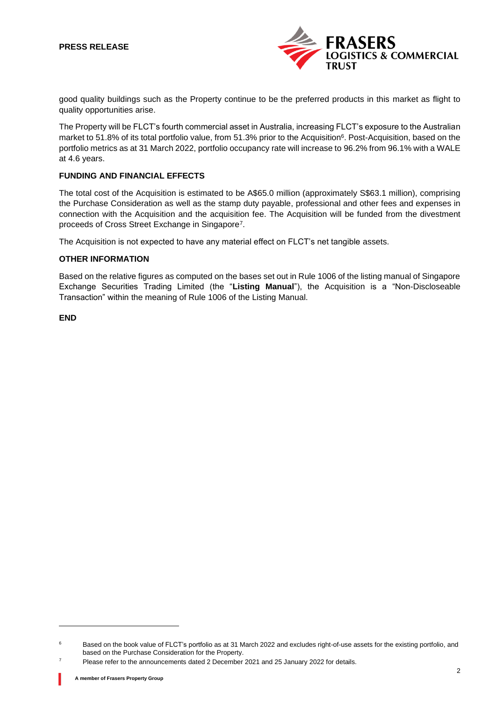# **PRESS RELEASE**



good quality buildings such as the Property continue to be the preferred products in this market as flight to quality opportunities arise.

The Property will be FLCT's fourth commercial asset in Australia, increasing FLCT's exposure to the Australian market to 51.8% of its total portfolio value, from 51.3% prior to the Acquisition<sup>6</sup>. Post-Acquisition, based on the portfolio metrics as at 31 March 2022, portfolio occupancy rate will increase to 96.2% from 96.1% with a WALE at 4.6 years.

## **FUNDING AND FINANCIAL EFFECTS**

The total cost of the Acquisition is estimated to be A\$65.0 million (approximately S\$63.1 million), comprising the Purchase Consideration as well as the stamp duty payable, professional and other fees and expenses in connection with the Acquisition and the acquisition fee. The Acquisition will be funded from the divestment proceeds of Cross Street Exchange in Singapore<sup>7</sup>.

The Acquisition is not expected to have any material effect on FLCT's net tangible assets.

#### **OTHER INFORMATION**

Based on the relative figures as computed on the bases set out in Rule 1006 of the listing manual of Singapore Exchange Securities Trading Limited (the "**Listing Manual**"), the Acquisition is a "Non-Discloseable Transaction" within the meaning of Rule 1006 of the Listing Manual.

**END**

<sup>&</sup>lt;sup>6</sup> Based on the book value of FLCT's portfolio as at 31 March 2022 and excludes right-of-use assets for the existing portfolio, and based on the Purchase Consideration for the Property.

 $7$  Please refer to the announcements dated 2 December 2021 and 25 January 2022 for details.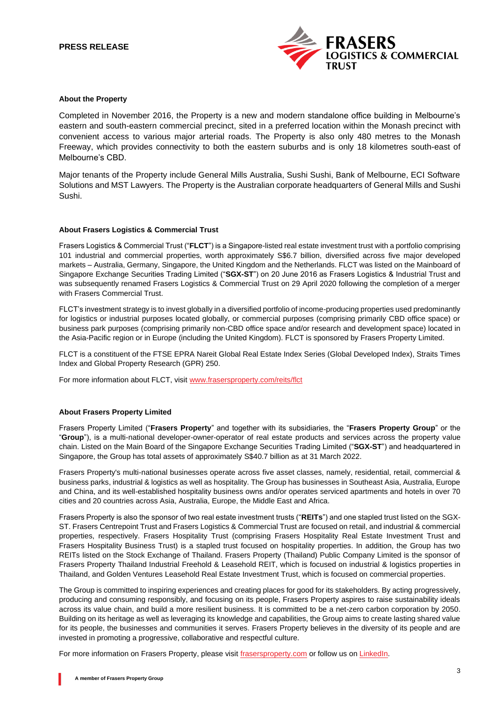## **PRESS RELEASE**



#### **About the Property**

Completed in November 2016, the Property is a new and modern standalone office building in Melbourne's eastern and south-eastern commercial precinct, sited in a preferred location within the Monash precinct with convenient access to various major arterial roads. The Property is also only 480 metres to the Monash Freeway, which provides connectivity to both the eastern suburbs and is only 18 kilometres south-east of Melbourne's CBD.

Major tenants of the Property include General Mills Australia, Sushi Sushi, Bank of Melbourne, ECI Software Solutions and MST Lawyers. The Property is the Australian corporate headquarters of General Mills and Sushi Sushi.

#### **About Frasers Logistics & Commercial Trust**

Frasers Logistics & Commercial Trust ("**FLCT**") is a Singapore-listed real estate investment trust with a portfolio comprising 101 industrial and commercial properties, worth approximately S\$6.7 billion, diversified across five major developed markets – Australia, Germany, Singapore, the United Kingdom and the Netherlands. FLCT was listed on the Mainboard of Singapore Exchange Securities Trading Limited ("**SGX-ST**") on 20 June 2016 as Frasers Logistics & Industrial Trust and was subsequently renamed Frasers Logistics & Commercial Trust on 29 April 2020 following the completion of a merger with Frasers Commercial Trust.

FLCT's investment strategy is to invest globally in a diversified portfolio of income-producing properties used predominantly for logistics or industrial purposes located globally, or commercial purposes (comprising primarily CBD office space) or business park purposes (comprising primarily non-CBD office space and/or research and development space) located in the Asia-Pacific region or in Europe (including the United Kingdom). FLCT is sponsored by Frasers Property Limited.

FLCT is a constituent of the FTSE EPRA Nareit Global Real Estate Index Series (Global Developed Index), Straits Times Index and Global Property Research (GPR) 250.

For more information about FLCT, visit [www.frasersproperty.com/reits/flct](http://www.frasersproperty.com/reits/flct)

#### **About Frasers Property Limited**

Frasers Property Limited ("**Frasers Property**" and together with its subsidiaries, the "**Frasers Property Group**" or the "**Group**"), is a multi-national developer-owner-operator of real estate products and services across the property value chain. Listed on the Main Board of the Singapore Exchange Securities Trading Limited ("**SGX-ST**") and headquartered in Singapore, the Group has total assets of approximately S\$40.7 billion as at 31 March 2022.

Frasers Property's multi-national businesses operate across five asset classes, namely, residential, retail, commercial & business parks, industrial & logistics as well as hospitality. The Group has businesses in Southeast Asia, Australia, Europe and China, and its well-established hospitality business owns and/or operates serviced apartments and hotels in over 70 cities and 20 countries across Asia, Australia, Europe, the Middle East and Africa.

Frasers Property is also the sponsor of two real estate investment trusts ("**REITs**") and one stapled trust listed on the SGX-ST. Frasers Centrepoint Trust and Frasers Logistics & Commercial Trust are focused on retail, and industrial & commercial properties, respectively. Frasers Hospitality Trust (comprising Frasers Hospitality Real Estate Investment Trust and Frasers Hospitality Business Trust) is a stapled trust focused on hospitality properties. In addition, the Group has two REITs listed on the Stock Exchange of Thailand. Frasers Property (Thailand) Public Company Limited is the sponsor of Frasers Property Thailand Industrial Freehold & Leasehold REIT, which is focused on industrial & logistics properties in Thailand, and Golden Ventures Leasehold Real Estate Investment Trust, which is focused on commercial properties.

The Group is committed to inspiring experiences and creating places for good for its stakeholders. By acting progressively, producing and consuming responsibly, and focusing on its people, Frasers Property aspires to raise sustainability ideals across its value chain, and build a more resilient business. It is committed to be a net-zero carbon corporation by 2050. Building on its heritage as well as leveraging its knowledge and capabilities, the Group aims to create lasting shared value for its people, the businesses and communities it serves. Frasers Property believes in the diversity of its people and are invested in promoting a progressive, collaborative and respectful culture.

For more information on Frasers Property, please visit [frasersproperty.com](https://frasersproperty.com/) or follow us o[n LinkedIn.](https://www.linkedin.com/company/frasers-property-limited/)